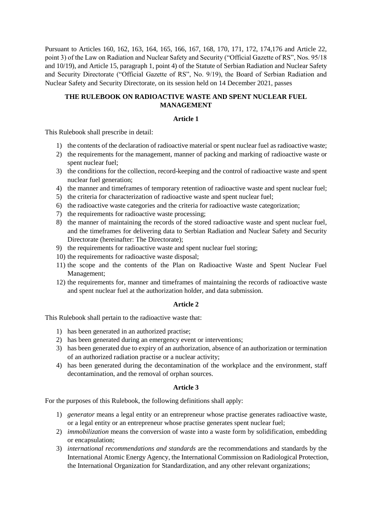Pursuant to Articles 160, 162, 163, 164, 165, 166, 167, 168, 170, 171, 172, 174,176 and Article 22, point 3) of the Law on Radiation and Nuclear Safety and Security ("Official Gazette of RS", Nos. 95/18 and 10/19), and Article 15, paragraph 1, point 4) of the Statute of Serbian Radiation and Nuclear Safety and Security Directorate ("Official Gazette of RS", No. 9/19), the Board of Serbian Radiation and Nuclear Safety and Security Directorate, on its session held on 14 December 2021, passes

# **THE RULEBOOK ON RADIOACTIVE WASTE AND SPENT NUCLEAR FUEL MANAGEMENT**

### **Article 1**

This Rulebook shall prescribe in detail:

- 1) the contents of the declaration of radioactive material or spent nuclear fuel as radioactive waste;
- 2) the requirements for the management, manner of packing and marking of radioactive waste or spent nuclear fuel;
- 3) the conditions for the collection, record-keeping and the control of radioactive waste and spent nuclear fuel generation;
- 4) the manner and timeframes of temporary retention of radioactive waste and spent nuclear fuel;
- 5) the criteria for characterization of radioactive waste and spent nuclear fuel;
- 6) the radioactive waste categories and the criteria for radioactive waste categorization;
- 7) the requirements for radioactive waste processing;
- 8) the manner of maintaining the records of the stored radioactive waste and spent nuclear fuel, and the timeframes for delivering data to Serbian Radiation and Nuclear Safety and Security Directorate (hereinafter: The Directorate);
- 9) the requirements for radioactive waste and spent nuclear fuel storing;
- 10) the requirements for radioactive waste disposal;
- 11) the scope and the contents of the Plan on Radioactive Waste and Spent Nuclear Fuel Management;
- 12) the requirements for, manner and timeframes of maintaining the records of radioactive waste and spent nuclear fuel at the authorization holder, and data submission.

#### **Article 2**

This Rulebook shall pertain to the radioactive waste that:

- 1) has been generated in an authorized practise;
- 2) has been generated during an emergency event or interventions;
- 3) has been generated due to expiry of an authorization, absence of an authorization or termination of an authorized radiation practise or a nuclear activity;
- 4) has been generated during the decontamination of the workplace and the environment, staff decontamination, and the removal of orphan sources.

### **Article 3**

For the purposes of this Rulebook, the following definitions shall apply:

- 1) *generator* means a legal entity or an entrepreneur whose practise generates radioactive waste, or a legal entity or an entrepreneur whose practise generates spent nuclear fuel;
- 2) *immobilization* means the conversion of waste into a waste form by solidification, embedding or encapsulation;
- 3) *international recommendations and standards* are the recommendations and standards by the International Atomic Energy Agency, the International Commission on Radiological Protection, the International Organization for Standardization, and any other relevant organizations;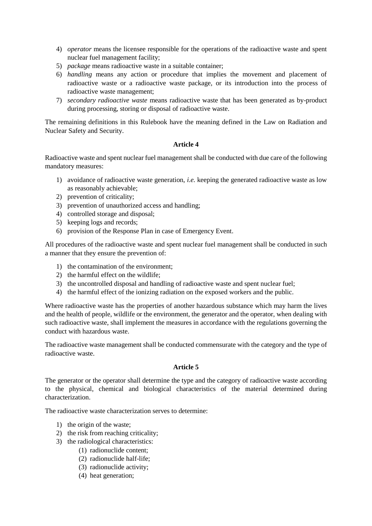- 4) *operator* means the licensee responsible for the operations of the radioactive waste and spent nuclear fuel management facility;
- 5) *package* means radioactive waste in a suitable container;
- 6) *handling* means any action or procedure that implies the movement and placement of radioactive waste or a radioactive waste package, or its introduction into the process of radioactive waste management;
- 7) *secondary radioactive waste* means radioactive waste that has been generated as by-product during processing, storing or disposal of radioactive waste.

The remaining definitions in this Rulebook have the meaning defined in the Law on Radiation and Nuclear Safety and Security.

### **Article 4**

Radioactive waste and spent nuclear fuel management shall be conducted with due care of the following mandatory measures:

- 1) avoidance of radioactive waste generation, *i.e.* keeping the generated radioactive waste as low as reasonably achievable;
- 2) prevention of criticality;
- 3) prevention of unauthorized access and handling;
- 4) controlled storage and disposal;
- 5) keeping logs and records;
- 6) provision of the Response Plan in case of Emergency Event.

All procedures of the radioactive waste and spent nuclear fuel management shall be conducted in such a manner that they ensure the prevention of:

- 1) the contamination of the environment;
- 2) the harmful effect on the wildlife;
- 3) the uncontrolled disposal and handling of radioactive waste and spent nuclear fuel;
- 4) the harmful effect of the ionizing radiation on the exposed workers and the public.

Where radioactive waste has the properties of another hazardous substance which may harm the lives and the health of people, wildlife or the environment, the generator and the operator, when dealing with such radioactive waste, shall implement the measures in accordance with the regulations governing the conduct with hazardous waste.

The radioactive waste management shall be conducted commensurate with the category and the type of radioactive waste.

### **Article 5**

The generator or the operator shall determine the type and the category of radioactive waste according to the physical, chemical and biological characteristics of the material determined during characterization.

The radioactive waste characterization serves to determine:

- 1) the origin of the waste;
- 2) the risk from reaching criticality;
- 3) the radiological characteristics:
	- (1) radionuclide content;
	- (2) radionuclide half-life;
	- (3) radionuclide activity;
	- (4) heat generation;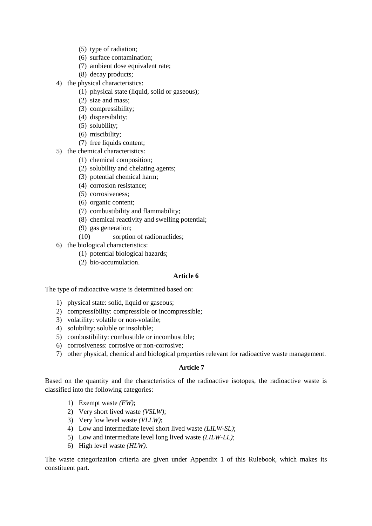- (5) type of radiation;
- (6) surface contamination;
- (7) ambient dose equivalent rate;
- (8) decay products;
- 4) the physical characteristics:
	- (1) physical state (liquid, solid or gaseous);
	- (2) size and mass;
	- (3) compressibility;
	- (4) dispersibility;
	- (5) solubility;
	- (6) miscibility;
	- (7) free liquids content;
- 5) the chemical characteristics:
	- (1) chemical composition;
	- (2) solubility and chelating agents;
	- (3) potential chemical harm;
	- (4) corrosion resistance;
	- (5) corrosiveness;
	- (6) organic content;
	- (7) combustibility and flammability;
	- (8) chemical reactivity and swelling potential;
	- (9) gas generation;
	- (10) sorption of radionuclides;
- 6) the biological characteristics:
	- (1) potential biological hazards;
	- (2) bio-accumulation.

### **Article 6**

The type of radioactive waste is determined based on:

- 1) physical state: solid, liquid or gaseous;
- 2) compressibility: compressible or incompressible;
- 3) volatility: volatile or non-volatile;
- 4) solubility: soluble or insoluble;
- 5) combustibility: combustible or incombustible;
- 6) corrosiveness: corrosive or non-corrosive;
- 7) other physical, chemical and biological properties relevant for radioactive waste management.

### **Article 7**

Based on the quantity and the characteristics of the radioactive isotopes, the radioactive waste is classified into the following categories:

- 1) Exempt waste *(EW)*;
- 2) Very short lived waste *(VSLW)*;
- 3) Very low level waste *(VLLW)*;
- 4) Low and intermediate level short lived waste *(LILW-SL)*;
- 5) Low and intermediate level long lived waste *(LILW-LL)*;
- 6) High level waste *(HLW).*

The waste categorization criteria are given under Appendix 1 of this Rulebook, which makes its constituent part.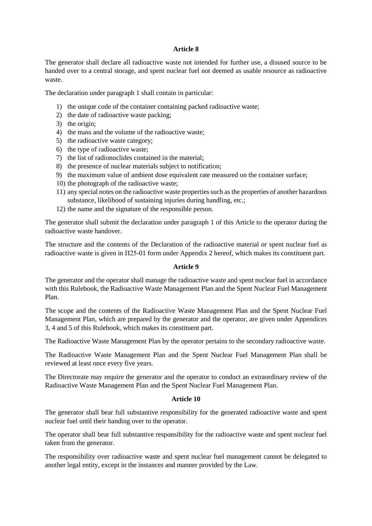### **Article 8**

The generator shall declare all radioactive waste not intended for further use, a disused source to be handed over to a central storage, and spent nuclear fuel not deemed as usable resource as radioactive waste.

The declaration under paragraph 1 shall contain in particular:

- 1) the unique code of the container containing packed radioactive waste:
- 2) the date of radioactive waste packing;
- 3) the origin;
- 4) the mass and the volume of the radioactive waste;
- 5) the radioactive waste category;
- 6) the type of radioactive waste;
- 7) the list of radionuclides contained in the material;
- 8) the presence of nuclear materials subject to notification;
- 9) the maximum value of ambient dose equivalent rate measured on the container surface;
- 10) the photograph of the radioactive waste;
- 11) any special notes on the radioactive waste properties such as the properties of another hazardous substance, likelihood of sustaining injuries during handling, etc.;
- 12) the name and the signature of the responsible person.

The generator shall submit the declaration under paragraph 1 of this Article to the operator during the radioactive waste handover.

The structure and the contents of the Declaration of the radioactive material or spent nuclear fuel as radioactive waste is given in П25-01 form under Appendix 2 hereof, which makes its constituent part.

### **Article 9**

The generator and the operator shall manage the radioactive waste and spent nuclear fuel in accordance with this Rulebook, the Radioactive Waste Management Plan and the Spent Nuclear Fuel Management Plan.

The scope and the contents of the Radioactive Waste Management Plan and the Spent Nuclear Fuel Management Plan, which are prepared by the generator and the operator, are given under Appendices 3, 4 and 5 of this Rulebook, which makes its constituent part.

The Radioactive Waste Management Plan by the operator pertains to the secondary radioactive waste.

The Radioactive Waste Management Plan and the Spent Nuclear Fuel Management Plan shall be reviewed at least once every five years.

The Directorate may require the generator and the operator to conduct an extraordinary review of the Radioactive Waste Management Plan and the Spent Nuclear Fuel Management Plan.

### **Article 10**

The generator shall bear full substantive responsibility for the generated radioactive waste and spent nuclear fuel until their handing over to the operator.

The operator shall bear full substantive responsibility for the radioactive waste and spent nuclear fuel taken from the generator.

The responsibility over radioactive waste and spent nuclear fuel management cannot be delegated to another legal entity, except in the instances and manner provided by the Law.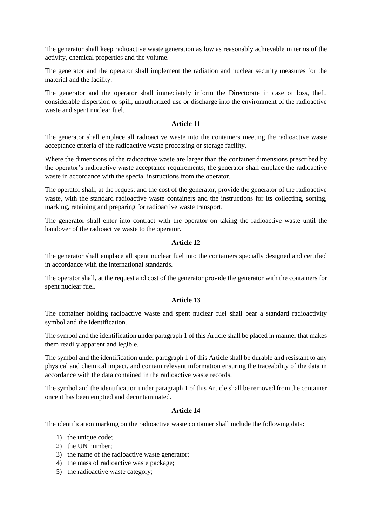The generator shall keep radioactive waste generation as low as reasonably achievable in terms of the activity, chemical properties and the volume.

The generator and the operator shall implement the radiation and nuclear security measures for the material and the facility.

The generator and the operator shall immediately inform the Directorate in case of loss, theft, considerable dispersion or spill, unauthorized use or discharge into the environment of the radioactive waste and spent nuclear fuel.

### **Article 11**

The generator shall emplace all radioactive waste into the containers meeting the radioactive waste acceptance criteria of the radioactive waste processing or storage facility.

Where the dimensions of the radioactive waste are larger than the container dimensions prescribed by the operator's radioactive waste acceptance requirements, the generator shall emplace the radioactive waste in accordance with the special instructions from the operator.

The operator shall, at the request and the cost of the generator, provide the generator of the radioactive waste, with the standard radioactive waste containers and the instructions for its collecting, sorting, marking, retaining and preparing for radioactive waste transport.

The generator shall enter into contract with the operator on taking the radioactive waste until the handover of the radioactive waste to the operator.

# **Article 12**

The generator shall emplace all spent nuclear fuel into the containers specially designed and certified in accordance with the international standards.

The operator shall, at the request and cost of the generator provide the generator with the containers for spent nuclear fuel.

### **Article 13**

The container holding radioactive waste and spent nuclear fuel shall bear a standard radioactivity symbol and the identification.

The symbol and the identification under paragraph 1 of this Article shall be placed in manner that makes them readily apparent and legible.

The symbol and the identification under paragraph 1 of this Article shall be durable and resistant to any physical and chemical impact, and contain relevant information ensuring the traceability of the data in accordance with the data contained in the radioactive waste records.

The symbol and the identification under paragraph 1 of this Article shall be removed from the container once it has been emptied and decontaminated.

### **Article 14**

The identification marking on the radioactive waste container shall include the following data:

- 1) the unique code;
- 2) the UN number;
- 3) the name of the radioactive waste generator;
- 4) the mass of radioactive waste package;
- 5) the radioactive waste category;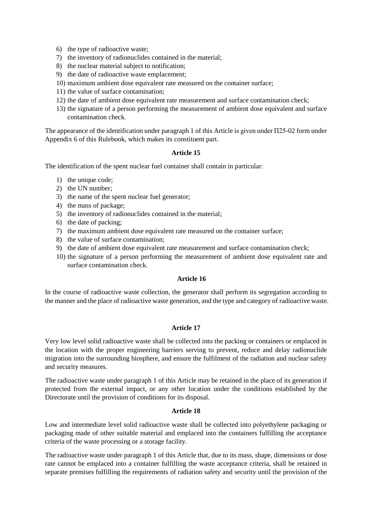- 6) the type of radioactive waste;
- 7) the inventory of radionuclides contained in the material;
- 8) the nuclear material subject to notification;
- 9) the date of radioactive waste emplacement;
- 10) maximum ambient dose equivalent rate measured on the container surface;
- 11) the value of surface contamination;
- 12) the date of ambient dose equivalent rate measurement and surface contamination check;
- 13) the signature of a person performing the measurement of ambient dose equivalent and surface contamination check.

The appearance of the identification under paragraph 1 of this Article is given under П25-02 form under Appendix 6 of this Rulebook, which makes its constituent part.

#### **Article 15**

The identification of the spent nuclear fuel container shall contain in particular:

- 1) the unique code;
- 2) the UN number;
- 3) the name of the spent nuclear fuel generator;
- 4) the mass of package;
- 5) the inventory of radionuclides contained in the material;
- 6) the date of packing;
- 7) the maximum ambient dose equivalent rate measured on the container surface;
- 8) the value of surface contamination;
- 9) the date of ambient dose equivalent rate measurement and surface contamination check;
- 10) the signature of a person performing the measurement of ambient dose equivalent rate and surface contamination check.

### **Article 16**

In the course of radioactive waste collection, the generator shall perform its segregation according to the manner and the place of radioactive waste generation, and the type and category of radioactive waste.

### **Article 17**

Very low level solid radioactive waste shall be collected into the packing or containers or emplaced in the location with the proper engineering barriers serving to prevent, reduce and delay radionuclide migration into the surrounding biosphere, and ensure the fulfilment of the radiation and nuclear safety and security measures.

The radioactive waste under paragraph 1 of this Article may be retained in the place of its generation if protected from the external impact, or any other location under the conditions established by the Directorate until the provision of conditions for its disposal.

# **Article 18**

Low and intermediate level solid radioactive waste shall be collected into polyethylene packaging or packaging made of other suitable material and emplaced into the containers fulfilling the acceptance criteria of the waste processing or a storage facility.

The radioactive waste under paragraph 1 of this Article that, due to its mass, shape, dimensions or dose rate cannot be emplaced into a container fulfilling the waste acceptance criteria, shall be retained in separate premises fulfilling the requirements of radiation safety and security until the provision of the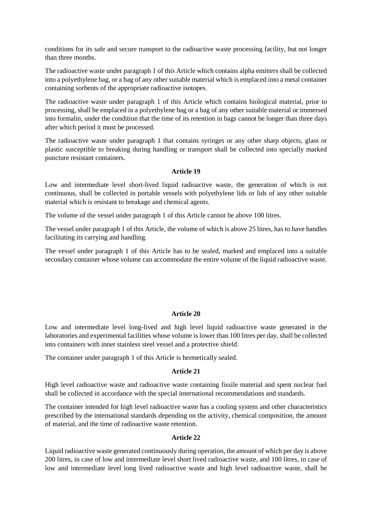conditions for its safe and secure transport to the radioactive waste processing facility, but not longer than three months.

The radioactive waste under paragraph 1 of this Article which contains alpha emitters shall be collected into a polyethylene bag, or a bag of any other suitable material which is emplaced into a metal container containing sorbents of the appropriate radioactive isotopes.

The radioactive waste under paragraph 1 of this Article which contains biological material, prior to processing, shall be emplaced in a polyethylene bag or a bag of any other suitable material or immersed into formalin, under the condition that the time of its retention in bags cannot be longer than three days after which period it must be processed.

The radioactive waste under paragraph 1 that contains syringes or any other sharp objects, glass or plastic susceptible to breaking during handling or transport shall be collected into specially marked puncture resistant containers.

### **Article 19**

Low and intermediate level short-lived liquid radioactive waste, the generation of which is not continuous, shall be collected in portable vessels with polyethylene lids or lids of any other suitable material which is resistant to breakage and chemical agents.

The volume of the vessel under paragraph 1 of this Article cannot be above 100 litres.

The vessel under paragraph 1 of this Article, the volume of which is above 25 litres, has to have handles facilitating its carrying and handling.

The vessel under paragraph 1 of this Article has to be sealed, marked and emplaced into a suitable secondary container whose volume can accommodate the entire volume of the liquid radioactive waste.

### **Article 20**

Low and intermediate level long-lived and high level liquid radioactive waste generated in the laboratories and experimental facilities whose volume is lower than 100 litres per day, shall be collected into containers with inner stainless steel vessel and a protective shield.

The container under paragraph 1 of this Article is hermetically sealed.

#### **Article 21**

High level radioactive waste and radioactive waste containing fissile material and spent nuclear fuel shall be collected in accordance with the special international recommendations and standards.

The container intended for high level radioactive waste has a cooling system and other characteristics prescribed by the international standards depending on the activity, chemical composition, the amount of material, and the time of radioactive waste retention.

### **Article 22**

Liquid radioactive waste generated continuously during operation, the amount of which per day is above 200 litres, in case of low and intermediate level short lived radioactive waste, and 100 litres, in case of low and intermediate level long lived radioactive waste and high level radioactive waste, shall be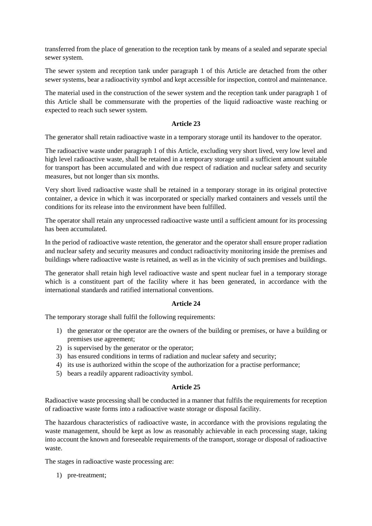transferred from the place of generation to the reception tank by means of a sealed and separate special sewer system.

The sewer system and reception tank under paragraph 1 of this Article are detached from the other sewer systems, bear a radioactivity symbol and kept accessible for inspection, control and maintenance.

The material used in the construction of the sewer system and the reception tank under paragraph 1 of this Article shall be commensurate with the properties of the liquid radioactive waste reaching or expected to reach such sewer system.

### **Article 23**

The generator shall retain radioactive waste in a temporary storage until its handover to the operator.

The radioactive waste under paragraph 1 of this Article, excluding very short lived, very low level and high level radioactive waste, shall be retained in a temporary storage until a sufficient amount suitable for transport has been accumulated and with due respect of radiation and nuclear safety and security measures, but not longer than six months.

Very short lived radioactive waste shall be retained in a temporary storage in its original protective container, a device in which it was incorporated or specially marked containers and vessels until the conditions for its release into the environment have been fulfilled.

The operator shall retain any unprocessed radioactive waste until a sufficient amount for its processing has been accumulated.

In the period of radioactive waste retention, the generator and the operator shall ensure proper radiation and nuclear safety and security measures and conduct radioactivity monitoring inside the premises and buildings where radioactive waste is retained, as well as in the vicinity of such premises and buildings.

The generator shall retain high level radioactive waste and spent nuclear fuel in a temporary storage which is a constituent part of the facility where it has been generated, in accordance with the international standards and ratified international conventions.

# **Article 24**

The temporary storage shall fulfil the following requirements:

- 1) the generator or the operator are the owners of the building or premises, or have a building or premises use agreement;
- 2) is supervised by the generator or the operator;
- 3) has ensured conditions in terms of radiation and nuclear safety and security;
- 4) its use is authorized within the scope of the authorization for a practise performance;
- 5) bears a readily apparent radioactivity symbol.

### **Article 25**

Radioactive waste processing shall be conducted in a manner that fulfils the requirements for reception of radioactive waste forms into a radioactive waste storage or disposal facility.

The hazardous characteristics of radioactive waste, in accordance with the provisions regulating the waste management, should be kept as low as reasonably achievable in each processing stage, taking into account the known and foreseeable requirements of the transport, storage or disposal of radioactive waste.

The stages in radioactive waste processing are:

1) pre-treatment;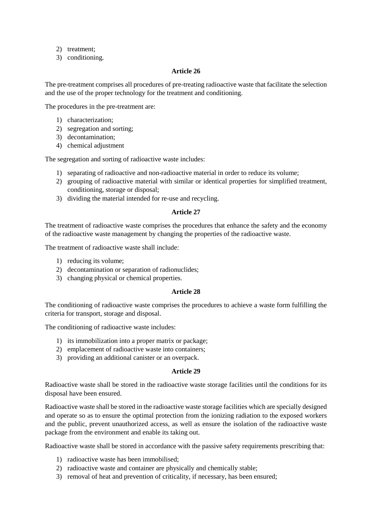- 2) treatment;
- 3) conditioning.

### **Article 26**

The pre-treatment comprises all procedures of pre-treating radioactive waste that facilitate the selection and the use of the proper technology for the treatment and conditioning.

The procedures in the pre-treatment are:

- 1) characterization;
- 2) segregation and sorting;
- 3) decontamination;
- 4) chemical adjustment

The segregation and sorting of radioactive waste includes:

- 1) separating of radioactive and non-radioactive material in order to reduce its volume;
- 2) grouping of radioactive material with similar or identical properties for simplified treatment, conditioning, storage or disposal;
- 3) dividing the material intended for re-use and recycling.

### **Article 27**

The treatment of radioactive waste comprises the procedures that enhance the safety and the economy of the radioactive waste management by changing the properties of the radioactive waste.

The treatment of radioactive waste shall include:

- 1) reducing its volume;
- 2) decontamination or separation of radionuclides;
- 3) changing physical or chemical properties.

### **Article 28**

The conditioning of radioactive waste comprises the procedures to achieve a waste form fulfilling the criteria for transport, storage and disposal.

The conditioning of radioactive waste includes:

- 1) its immobilization into a proper matrix or package;
- 2) emplacement of radioactive waste into containers;
- 3) providing an additional canister or an overpack.

#### **Article 29**

Radioactive waste shall be stored in the radioactive waste storage facilities until the conditions for its disposal have been ensured.

Radioactive waste shall be stored in the radioactive waste storage facilities which are specially designed and operate so as to ensure the optimal protection from the ionizing radiation to the exposed workers and the public, prevent unauthorized access, as well as ensure the isolation of the radioactive waste package from the environment and enable its taking out.

Radioactive waste shall be stored in accordance with the passive safety requirements prescribing that:

- 1) radioactive waste has been immobilised;
- 2) radioactive waste and container are physically and chemically stable;
- 3) removal of heat and prevention of criticality, if necessary, has been ensured;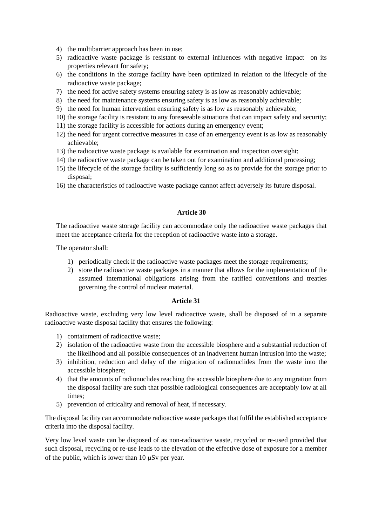- 4) the multibarrier approach has been in use;
- 5) radioactive waste package is resistant to external influences with negative impact on its properties relevant for safety;
- 6) the conditions in the storage facility have been optimized in relation to the lifecycle of the radioactive waste package;
- 7) the need for active safety systems ensuring safety is as low as reasonably achievable;
- 8) the need for maintenance systems ensuring safety is as low as reasonably achievable;
- 9) the need for human intervention ensuring safety is as low as reasonably achievable;
- 10) the storage facility is resistant to any foreseeable situations that can impact safety and security;
- 11) the storage facility is accessible for actions during an emergency event;
- 12) the need for urgent corrective measures in case of an emergency event is as low as reasonably achievable;
- 13) the radioactive waste package is available for examination and inspection oversight;
- 14) the radioactive waste package can be taken out for examination and additional processing;
- 15) the lifecycle of the storage facility is sufficiently long so as to provide for the storage prior to disposal;
- 16) the characteristics of radioactive waste package cannot affect adversely its future disposal.

### **Article 30**

The radioactive waste storage facility can accommodate only the radioactive waste packages that meet the acceptance criteria for the reception of radioactive waste into a storage.

The operator shall:

- 1) periodically check if the radioactive waste packages meet the storage requirements;
- 2) store the radioactive waste packages in a manner that allows for the implementation of the assumed international obligations arising from the ratified conventions and treaties governing the control of nuclear material.

#### **Article 31**

Radioactive waste, excluding very low level radioactive waste, shall be disposed of in a separate radioactive waste disposal facility that ensures the following:

- 1) containment of radioactive waste;
- 2) isolation of the radioactive waste from the accessible biosphere and a substantial reduction of the likelihood and all possible consequences of an inadvertent human intrusion into the waste;
- 3) inhibition, reduction and delay of the migration of radionuclides from the waste into the accessible biosphere;
- 4) that the amounts of radionuclides reaching the accessible biosphere due to any migration from the disposal facility are such that possible radiological consequences are acceptably low at all times;
- 5) prevention of criticality and removal of heat, if necessary.

The disposal facility can accommodate radioactive waste packages that fulfil the established acceptance criteria into the disposal facility.

Very low level waste can be disposed of as non-radioactive waste, recycled or re-used provided that such disposal, recycling or re-use leads to the elevation of the effective dose of exposure for a member of the public, which is lower than  $10 \mu Sv$  per year.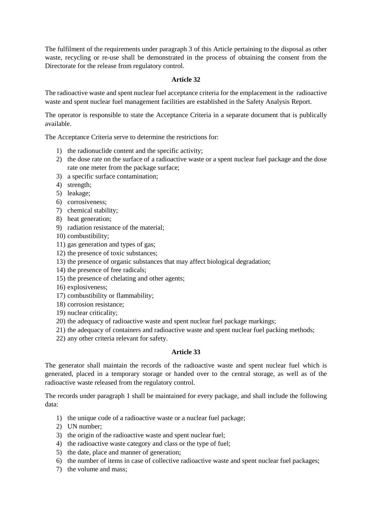The fulfilment of the requirements under paragraph 3 of this Article pertaining to the disposal as other waste, recycling or re-use shall be demonstrated in the process of obtaining the consent from the Directorate for the release from regulatory control.

# **Article 32**

The radioactive waste and spent nuclear fuel acceptance criteria for the emplacement in the radioactive waste and spent nuclear fuel management facilities are established in the Safety Analysis Report.

The operator is responsible to state the Acceptance Criteria in a separate document that is publically available.

The Acceptance Criteria serve to determine the restrictions for:

- 1) the radionuclide content and the specific activity;
- 2) the dose rate on the surface of a radioactive waste or a spent nuclear fuel package and the dose rate one meter from the package surface;
- 3) a specific surface contamination;
- 4) strength;
- 5) leakage;
- 6) corrosiveness;
- 7) chemical stability;
- 8) heat generation;
- 9) radiation resistance of the material;
- 10) combustibility;
- 11) gas generation and types of gas;
- 12) the presence of toxic substances;
- 13) the presence of organic substances that may affect biological degradation;
- 14) the presence of free radicals;
- 15) the presence of chelating and other agents;
- 16) explosiveness;
- 17) combustibility or flammability;
- 18) corrosion resistance;
- 19) nuclear criticality;
- 20) the adequacy of radioactive waste and spent nuclear fuel package markings;
- 21) the adequacy of containers and radioactive waste and spent nuclear fuel packing methods;
- 22) any other criteria relevant for safety.

# **Article 33**

The generator shall maintain the records of the radioactive waste and spent nuclear fuel which is generated, placed in a temporary storage or handed over to the central storage, as well as of the radioactive waste released from the regulatory control.

The records under paragraph 1 shall be maintained for every package, and shall include the following data:

- 1) the unique code of a radioactive waste or a nuclear fuel package;
- 2) UN number;
- 3) the origin of the radioactive waste and spent nuclear fuel;
- 4) the radioactive waste category and class or the type of fuel;
- 5) the date, place and manner of generation;
- 6) the number of items in case of collective radioactive waste and spent nuclear fuel packages;
- 7) the volume and mass;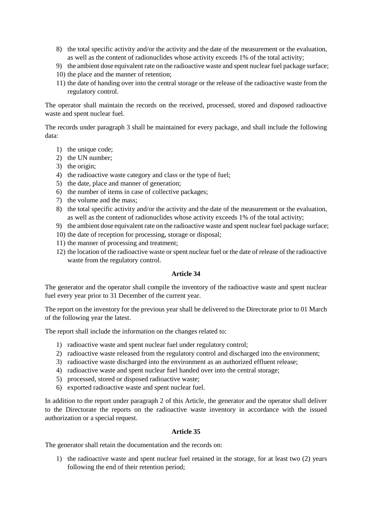- 8) the total specific activity and/or the activity and the date of the measurement or the evaluation, as well as the content of radionuclides whose activity exceeds 1% of the total activity;
- 9) the ambient dose equivalent rate on the radioactive waste and spent nuclear fuel package surface;
- 10) the place and the manner of retention;
- 11) the date of handing over into the central storage or the release of the radioactive waste from the regulatory control.

The operator shall maintain the records on the received, processed, stored and disposed radioactive waste and spent nuclear fuel.

The records under paragraph 3 shall be maintained for every package, and shall include the following data:

- 1) the unique code;
- 2) the UN number;
- 3) the origin;
- 4) the radioactive waste category and class or the type of fuel;
- 5) the date, place and manner of generation;
- 6) the number of items in case of collective packages;
- 7) the volume and the mass;
- 8) the total specific activity and/or the activity and the date of the measurement or the evaluation, as well as the content of radionuclides whose activity exceeds 1% of the total activity;
- 9) the ambient dose equivalent rate on the radioactive waste and spent nuclear fuel package surface;
- 10) the date of reception for processing, storage or disposal;
- 11) the manner of processing and treatment;
- 12) the location of the radioactive waste or spent nuclear fuel or the date of release of the radioactive waste from the regulatory control.

### **Article 34**

The generator and the operator shall compile the inventory of the radioactive waste and spent nuclear fuel every year prior to 31 December of the current year.

The report on the inventory for the previous year shall be delivered to the Directorate prior to 01 March of the following year the latest.

The report shall include the information on the changes related to:

- 1) radioactive waste and spent nuclear fuel under regulatory control;
- 2) radioactive waste released from the regulatory control and discharged into the environment;
- 3) radioactive waste discharged into the environment as an authorized effluent release;
- 4) radioactive waste and spent nuclear fuel handed over into the central storage;
- 5) processed, stored or disposed radioactive waste;
- 6) exported radioactive waste and spent nuclear fuel.

In addition to the report under paragraph 2 of this Article, the generator and the operator shall deliver to the Directorate the reports on the radioactive waste inventory in accordance with the issued authorization or a special request.

### **Article 35**

The generator shall retain the documentation and the records on:

1) the radioactive waste and spent nuclear fuel retained in the storage, for at least two (2) years following the end of their retention period;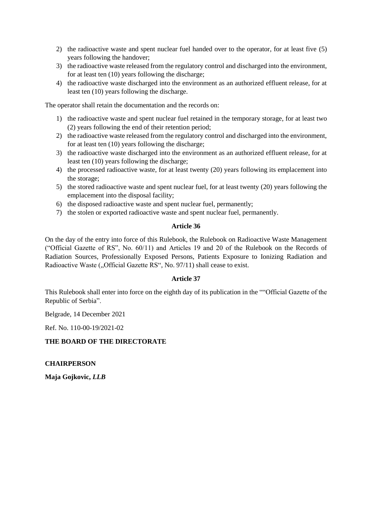- 2) the radioactive waste and spent nuclear fuel handed over to the operator, for at least five (5) years following the handover;
- 3) the radioactive waste released from the regulatory control and discharged into the environment, for at least ten (10) years following the discharge;
- 4) the radioactive waste discharged into the environment as an authorized effluent release, for at least ten (10) years following the discharge.

The operator shall retain the documentation and the records on:

- 1) the radioactive waste and spent nuclear fuel retained in the temporary storage, for at least two (2) years following the end of their retention period;
- 2) the radioactive waste released from the regulatory control and discharged into the environment, for at least ten (10) years following the discharge;
- 3) the radioactive waste discharged into the environment as an authorized effluent release, for at least ten (10) years following the discharge;
- 4) the processed radioactive waste, for at least twenty (20) years following its emplacement into the storage;
- 5) the stored radioactive waste and spent nuclear fuel, for at least twenty (20) years following the emplacement into the disposal facility;
- 6) the disposed radioactive waste and spent nuclear fuel, permanently;
- 7) the stolen or exported radioactive waste and spent nuclear fuel, permanently.

### **Article 36**

On the day of the entry into force of this Rulebook, the Rulebook on Radioactive Waste Management ("Official Gazette of RS", No. 60/11) and Articles 19 and 20 of the Rulebook on the Records of Radiation Sources, Professionally Exposed Persons, Patients Exposure to Ionizing Radiation and Radioactive Waste ("Official Gazette RS", No. 97/11) shall cease to exist.

### **Article 37**

This Rulebook shall enter into force on the eighth day of its publication in the ""Official Gazette of the Republic of Serbia".

Belgrade, 14 December 2021

Ref. No. 110-00-19/2021-02

### **THE BOARD OF THE DIRECTORATE**

**CHAIRPERSON**

**Maja Gojkovic,** *LLB*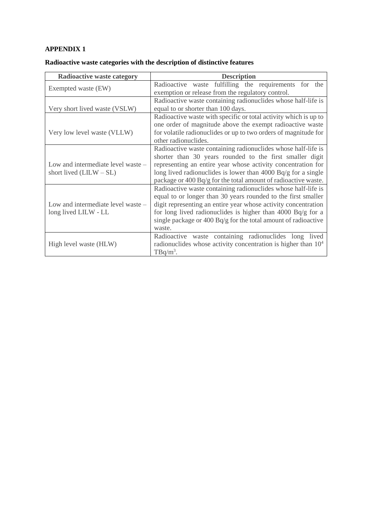| <b>Radioactive waste category</b>  | <b>Description</b>                                               |  |  |  |  |
|------------------------------------|------------------------------------------------------------------|--|--|--|--|
| Exempted waste (EW)                | Radioactive waste fulfilling the requirements for the            |  |  |  |  |
|                                    | exemption or release from the regulatory control.                |  |  |  |  |
|                                    | Radioactive waste containing radionuclides whose half-life is    |  |  |  |  |
| Very short lived waste (VSLW)      | equal to or shorter than 100 days.                               |  |  |  |  |
|                                    | Radioactive waste with specific or total activity which is up to |  |  |  |  |
|                                    | one order of magnitude above the exempt radioactive waste        |  |  |  |  |
| Very low level waste (VLLW)        | for volatile radionuclides or up to two orders of magnitude for  |  |  |  |  |
|                                    | other radionuclides.                                             |  |  |  |  |
|                                    | Radioactive waste containing radionuclides whose half-life is    |  |  |  |  |
|                                    | shorter than 30 years rounded to the first smaller digit         |  |  |  |  |
| Low and intermediate level waste – | representing an entire year whose activity concentration for     |  |  |  |  |
| short lived $(LILW - SL)$          | long lived radionuclides is lower than 4000 $Bq/g$ for a single  |  |  |  |  |
|                                    | package or 400 Bq/g for the total amount of radioactive waste.   |  |  |  |  |
|                                    | Radioactive waste containing radionuclides whose half-life is    |  |  |  |  |
|                                    | equal to or longer than 30 years rounded to the first smaller    |  |  |  |  |
| Low and intermediate level waste - | digit representing an entire year whose activity concentration   |  |  |  |  |
| long lived LILW - LL               | for long lived radionuclides is higher than 4000 Bq/g for a      |  |  |  |  |
|                                    | single package or $400 Bq/g$ for the total amount of radioactive |  |  |  |  |
|                                    | waste.                                                           |  |  |  |  |
|                                    | Radioactive waste containing radionuclides long lived            |  |  |  |  |
| High level waste (HLW)             | radionuclides whose activity concentration is higher than $104$  |  |  |  |  |
|                                    | $TBq/m^3$ .                                                      |  |  |  |  |

# **Radioactive waste categories with the description of distinctive features**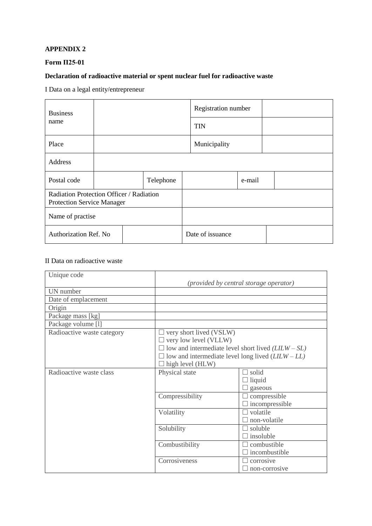# **Form П25-01**

# **Declaration of radioactive material or spent nuclear fuel for radioactive waste**

I Data on a legal entity/entrepreneur

| <b>Business</b>                                                               |  |           |                  | Registration number |        |  |
|-------------------------------------------------------------------------------|--|-----------|------------------|---------------------|--------|--|
| name                                                                          |  |           |                  | <b>TIN</b>          |        |  |
| Place                                                                         |  |           |                  | Municipality        |        |  |
| Address                                                                       |  |           |                  |                     |        |  |
| Postal code                                                                   |  | Telephone |                  |                     | e-mail |  |
| Radiation Protection Officer / Radiation<br><b>Protection Service Manager</b> |  |           |                  |                     |        |  |
| Name of practise                                                              |  |           |                  |                     |        |  |
| Authorization Ref. No                                                         |  |           | Date of issuance |                     |        |  |

### II Data on radioactive waste

| Unique code                |                                                                           |                       |  |  |
|----------------------------|---------------------------------------------------------------------------|-----------------------|--|--|
|                            | (provided by central storage operator)                                    |                       |  |  |
| UN number                  |                                                                           |                       |  |  |
| Date of emplacement        |                                                                           |                       |  |  |
| Origin                     |                                                                           |                       |  |  |
| Package mass [kg]          |                                                                           |                       |  |  |
| Package volume [1]         |                                                                           |                       |  |  |
| Radioactive waste category | $\Box$ very short lived (VSLW)                                            |                       |  |  |
|                            | $\Box$ very low level (VLLW)                                              |                       |  |  |
|                            | $\Box$ low and intermediate level short lived ( <i>LILW</i> – <i>SL</i> ) |                       |  |  |
|                            | $\Box$ low and intermediate level long lived ( $LILW - LL$ )              |                       |  |  |
|                            | $\Box$ high level (HLW)                                                   |                       |  |  |
| Radioactive waste class    | Physical state                                                            | $\Box$ solid          |  |  |
|                            |                                                                           | $\Box$ liquid         |  |  |
|                            |                                                                           | $\Box$ gaseous        |  |  |
|                            | Compressibility                                                           | $\Box$ compressible   |  |  |
|                            |                                                                           | $\Box$ incompressible |  |  |
|                            | Volatility                                                                | volatile              |  |  |
|                            |                                                                           | non-volatile          |  |  |
|                            | Solubility                                                                | $\Box$ soluble        |  |  |
|                            |                                                                           | $\Box$ insoluble      |  |  |
|                            | Combustibility                                                            | combustible           |  |  |
|                            |                                                                           | l incombustible       |  |  |
|                            | Corrosiveness                                                             | corrosive             |  |  |
|                            |                                                                           | $\Box$ non-corrosive  |  |  |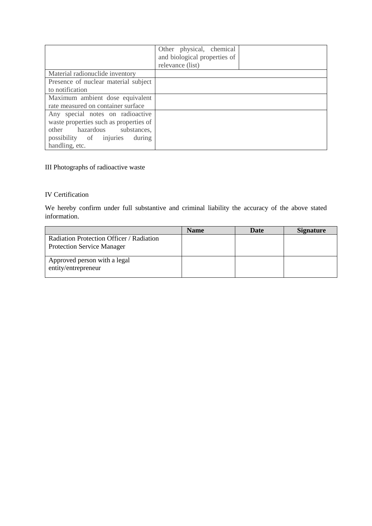|                                        | Other physical, chemical<br>and biological properties of<br>relevance (list) |
|----------------------------------------|------------------------------------------------------------------------------|
| Material radionuclide inventory        |                                                                              |
| Presence of nuclear material subject   |                                                                              |
| to notification                        |                                                                              |
| Maximum ambient dose equivalent        |                                                                              |
| rate measured on container surface     |                                                                              |
| Any special notes on radioactive       |                                                                              |
| waste properties such as properties of |                                                                              |
| other hazardous substances,            |                                                                              |
| possibility of injuries<br>during      |                                                                              |
| handling, etc.                         |                                                                              |

# III Photographs of radioactive waste

### IV Certification

We hereby confirm under full substantive and criminal liability the accuracy of the above stated information.

|                                                     | <b>Name</b> | <b>Date</b> | Signature |
|-----------------------------------------------------|-------------|-------------|-----------|
| Radiation Protection Officer / Radiation            |             |             |           |
| <b>Protection Service Manager</b>                   |             |             |           |
| Approved person with a legal<br>entity/entrepreneur |             |             |           |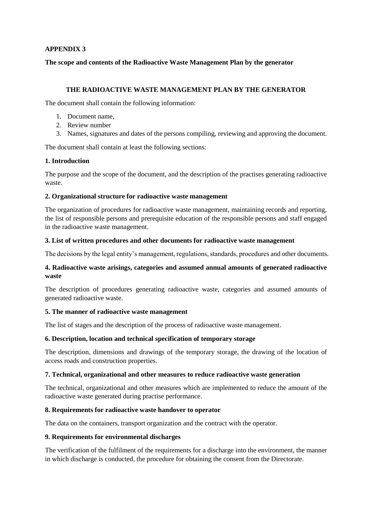**The scope and contents of the Radioactive Waste Management Plan by the generator**

### **THE RADIOACTIVE WASTE MANAGEMENT PLAN BY THE GENERATOR**

The document shall contain the following information:

- 1. Document name,
- 2. Review number
- 3. Names, signatures and dates of the persons compiling, reviewing and approving the document.

The document shall contain at least the following sections:

### **1. Introduction**

The purpose and the scope of the document, and the description of the practises generating radioactive waste.

### **2. Organizational structure for radioactive waste management**

The organization of procedures for radioactive waste management, maintaining records and reporting, the list of responsible persons and prerequisite education of the responsible persons and staff engaged in the radioactive waste management.

### **3. List of written procedures and other documents for radioactive waste management**

The decisions by the legal entity's management, regulations, standards, procedures and other documents.

### **4. Radioactive waste arisings, categories and assumed annual amounts of generated radioactive waste**

The description of procedures generating radioactive waste, categories and assumed amounts of generated radioactive waste.

### **5. The manner of radioactive waste management**

The list of stages and the description of the process of radioactive waste management.

### **6. Description, location and technical specification of temporary storage**

The description, dimensions and drawings of the temporary storage, the drawing of the location of access roads and construction properties.

### **7. Technical, organizational and other measures to reduce radioactive waste generation**

The technical, organizational and other measures which are implemented to reduce the amount of the radioactive waste generated during practise performance.

### **8. Requirements for radioactive waste handover to operator**

The data on the containers, transport organization and the contract with the operator.

### **9. Requirements for environmental discharges**

The verification of the fulfilment of the requirements for a discharge into the environment, the manner in which discharge is conducted, the procedure for obtaining the consent from the Directorate.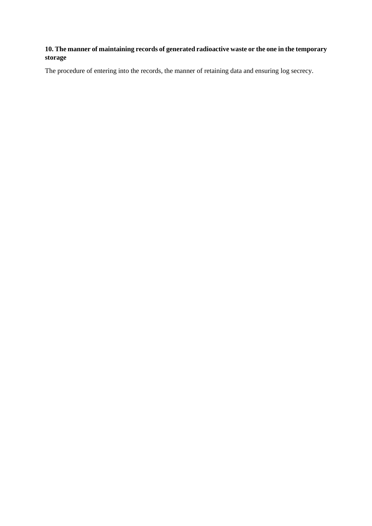# **10. The manner of maintaining records of generated radioactive waste or the one in the temporary storage**

The procedure of entering into the records, the manner of retaining data and ensuring log secrecy.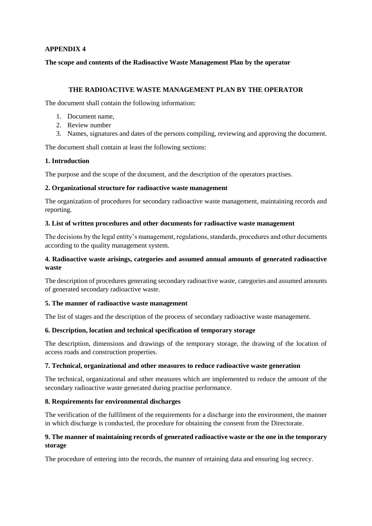**The scope and contents of the Radioactive Waste Management Plan by the operator**

### **THE RADIOACTIVE WASTE MANAGEMENT PLAN BY THE OPERATOR**

The document shall contain the following information:

- 1. Document name,
- 2. Review number
- 3. Names, signatures and dates of the persons compiling, reviewing and approving the document.

The document shall contain at least the following sections:

### **1. Introduction**

The purpose and the scope of the document, and the description of the operators practises.

### **2. Organizational structure for radioactive waste management**

The organization of procedures for secondary radioactive waste management, maintaining records and reporting.

### **3. List of written procedures and other documents for radioactive waste management**

The decisions by the legal entity's management, regulations, standards, procedures and other documents according to the quality management system.

### **4. Radioactive waste arisings, categories and assumed annual amounts of generated radioactive waste**

The description of procedures generating secondary radioactive waste, categories and assumed amounts of generated secondary radioactive waste.

### **5. The manner of radioactive waste management**

The list of stages and the description of the process of secondary radioactive waste management.

### **6. Description, location and technical specification of temporary storage**

The description, dimensions and drawings of the temporary storage, the drawing of the location of access roads and construction properties.

### **7. Technical, organizational and other measures to reduce radioactive waste generation**

The technical, organizational and other measures which are implemented to reduce the amount of the secondary radioactive waste generated during practise performance.

### **8. Requirements for environmental discharges**

The verification of the fulfilment of the requirements for a discharge into the environment, the manner in which discharge is conducted, the procedure for obtaining the consent from the Directorate.

# **9. The manner of maintaining records of generated radioactive waste or the one in the temporary storage**

The procedure of entering into the records, the manner of retaining data and ensuring log secrecy.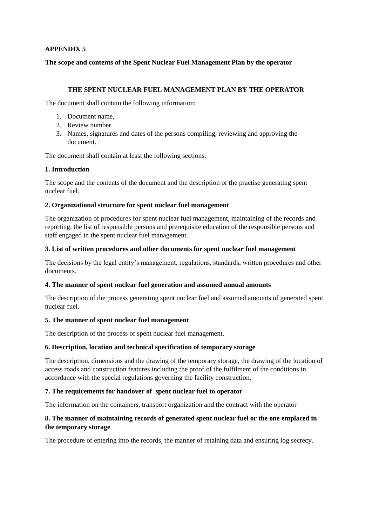**The scope and contents of the Spent Nuclear Fuel Management Plan by the operator**

### **THE SPENT NUCLEAR FUEL MANAGEMENT PLAN BY THE OPERATOR**

The document shall contain the following information:

- 1. Document name,
- 2. Review number
- 3. Names, signatures and dates of the persons compiling, reviewing and approving the document.

The document shall contain at least the following sections:

### **1. Introduction**

The scope and the contents of the document and the description of the practise generating spent nuclear fuel.

### **2. Organizational structure for spent nuclear fuel management**

The organization of procedures for spent nuclear fuel management, maintaining of the records and reporting, the list of responsible persons and prerequisite education of the responsible persons and staff engaged in the spent nuclear fuel management.

### **3. List of written procedures and other documents for spent nuclear fuel management**

The decisions by the legal entity's management, regulations, standards, written procedures and other documents.

### **4. The manner of spent nuclear fuel generation and assumed annual amounts**

The description of the process generating spent nuclear fuel and assumed amounts of generated spent nuclear fuel.

### **5. The manner of spent nuclear fuel management**

The description of the process of spent nuclear fuel management.

### **6. Description, location and technical specification of temporary storage**

The description, dimensions and the drawing of the temporary storage, the drawing of the location of access roads and construction features including the proof of the fulfilment of the conditions in accordance with the special regulations governing the facility construction.

### **7. The requirements for handover of spent nuclear fuel to operator**

The information on the containers, transport organization and the contract with the operator

### **8. The manner of maintaining records of generated spent nuclear fuel or the one emplaced in the temporary storage**

The procedure of entering into the records, the manner of retaining data and ensuring log secrecy.